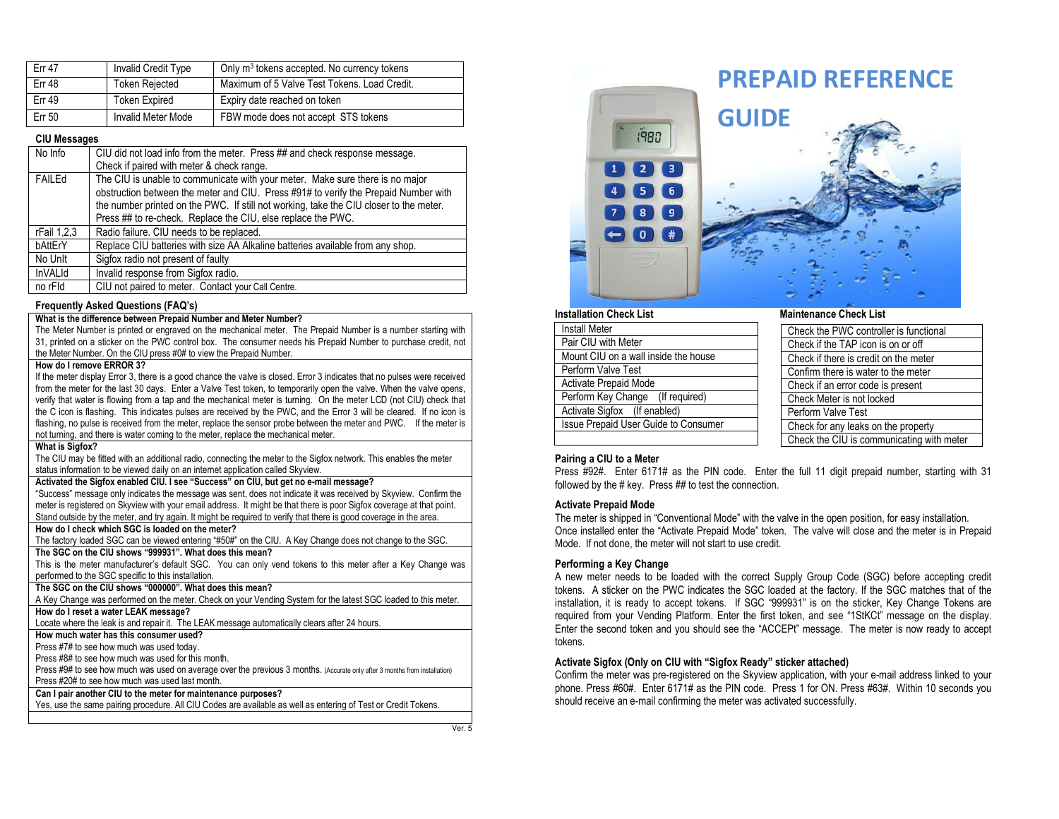| <b>Err 47</b> | Invalid Credit Type       | Only m <sup>3</sup> tokens accepted. No currency tokens |
|---------------|---------------------------|---------------------------------------------------------|
| <b>Err 48</b> | <b>Token Rejected</b>     | Maximum of 5 Valve Test Tokens, Load Credit.            |
| <b>Err 49</b> | <b>Token Expired</b>      | Expiry date reached on token                            |
| <b>Err 50</b> | <b>Invalid Meter Mode</b> | FBW mode does not accept STS tokens                     |

### **CIU Messages**

| No Info     | CIU did not load info from the meter. Press ## and check response message.                                                                                                                                                                                                                                                     |
|-------------|--------------------------------------------------------------------------------------------------------------------------------------------------------------------------------------------------------------------------------------------------------------------------------------------------------------------------------|
|             | Check if paired with meter & check range.                                                                                                                                                                                                                                                                                      |
| FAILEd      | The CIU is unable to communicate with your meter. Make sure there is no major<br>obstruction between the meter and CIU. Press #91# to verify the Prepaid Number with<br>the number printed on the PWC. If still not working, take the CIU closer to the meter.<br>Press ## to re-check. Replace the CIU, else replace the PWC. |
| rFail 1,2,3 | Radio failure. CIU needs to be replaced.                                                                                                                                                                                                                                                                                       |
| bAttErY     | Replace CIU batteries with size AA Alkaline batteries available from any shop.                                                                                                                                                                                                                                                 |
| No Unlt     | Sigfox radio not present of faulty                                                                                                                                                                                                                                                                                             |
| InVALId     | Invalid response from Sigfox radio.                                                                                                                                                                                                                                                                                            |
| no rFId     | CIU not paired to meter. Contact your Call Centre.                                                                                                                                                                                                                                                                             |

### **Frequently Asked Questions (FAQ's)**

# **What is the difference between Prepaid Number and Meter Number?**

The Meter Number is printed or engraved on the mechanical meter. The Prepaid Number is a number starting with 31, printed on a sticker on the PWC control box. The consumer needs his Prepaid Number to purchase credit, not the Meter Number. On the CIU press #0# to view the Prepaid Number.

## **How do I remove ERROR 3?**

 If the meter display Error 3, there is a good chance the valve is closed. Error 3 indicates that no pulses were received from the meter for the last 30 days. Enter a Valve Test token, to temporarily open the valve. When the valve opens, verify that water is flowing from a tap and the mechanical meter is turning. On the meter LCD (not CIU) check that the C icon is flashing. This indicates pulses are received by the PWC, and the Error 3 will be cleared. If no icon is flashing, no pulse is received from the meter, replace the sensor probe between the meter and PWC. If the meter is not turning, and there is water coming to the meter, replace the mechanical meter.

### **What is Sigfox?**

 The CIU may be fitted with an additional radio, connecting the meter to the Sigfox network. This enables the meter status information to be viewed daily on an internet application called Skyview.

### **Activated the Sigfox enabled CIU. I see "Success" on CIU, but get no e-mail message?**

 "Success" message only indicates the message was sent, does not indicate it was received by Skyview. Confirm the meter is registered on Skyview with your email address. It might be that there is poor Sigfox coverage at that point. Stand outside by the meter, and try again. It might be required to verify that there is good coverage in the area.

### **How do I check which SGC is loaded on the meter?**

The factory loaded SGC can be viewed entering "#50#" on the CIU. A Key Change does not change to the SGC.

### **The SGC on the CIU shows "999931". What does this mean?**

 This is the meter manufacturer's default SGC. You can only vend tokens to this meter after a Key Change was performed to the SGC specific to this installation.

### **The SGC on the CIU shows "000000". What does this mean?**

 A Key Change was performed on the meter. Check on your Vending System for the latest SGC loaded to this meter. **How do I reset a water LEAK message?**

Locate where the leak is and repair it. The LEAK message automatically clears after 24 hours.

### **How much water has this consumer used?**

Press #7# to see how much was used today.

Press #8# to see how much was used for this month.

 Press #9# to see how much was used on average over the previous 3 months. (Accurate only after 3 months from installation) Press #20# to see how much was used last month.

# **Can I pair another CIU to the meter for maintenance purposes?**

Yes, use the same pairing procedure. All CIU Codes are available as well as entering of Test or Credit Tokens.



| <b>Install Meter</b>                 |
|--------------------------------------|
| Pair CIU with Meter                  |
| Mount CIU on a wall inside the house |
| Perform Valve Test                   |
| <b>Activate Prepaid Mode</b>         |
| Perform Key Change (If required)     |
| Activate Sigfox (If enabled)         |
| Issue Prepaid User Guide to Consumer |
|                                      |

| Check the PWC controller is functional    |
|-------------------------------------------|
| Check if the TAP icon is on or off        |
| Check if there is credit on the meter     |
| Confirm there is water to the meter       |
| Check if an error code is present         |
| Check Meter is not locked                 |
| Perform Valve Test                        |
| Check for any leaks on the property       |
| Check the CIU is communicating with meter |

### **Pairing a CIU to a Meter**

 Press #92#. Enter 6171# as the PIN code. Enter the full 11 digit prepaid number, starting with 31 followed by the # key. Press ## to test the connection.

### **Activate Prepaid Mode**

 The meter is shipped in "Conventional Mode" with the valve in the open position, for easy installation. Once installed enter the "Activate Prepaid Mode" token. The valve will close and the meter is in Prepaid Mode. If not done, the meter will not start to use credit.

### **Performing a Key Change**

 A new meter needs to be loaded with the correct Supply Group Code (SGC) before accepting credit tokens. A sticker on the PWC indicates the SGC loaded at the factory. If the SGC matches that of the installation, it is ready to accept tokens. If SGC "999931" is on the sticker, Key Change Tokens are required from your Vending Platform. Enter the first token, and see "1StKCt" message on the display. Enter the second token and you should see the "ACCEPt" message. The meter is now ready to accept tokens.

### **Activate Sigfox (Only on CIU with "Sigfox Ready" sticker attached)**

 Confirm the meter was pre-registered on the Skyview application, with your e-mail address linked to your phone. Press #60#. Enter 6171# as the PIN code. Press 1 for ON. Press #63#. Within 10 seconds you should receive an e-mail confirming the meter was activated successfully.